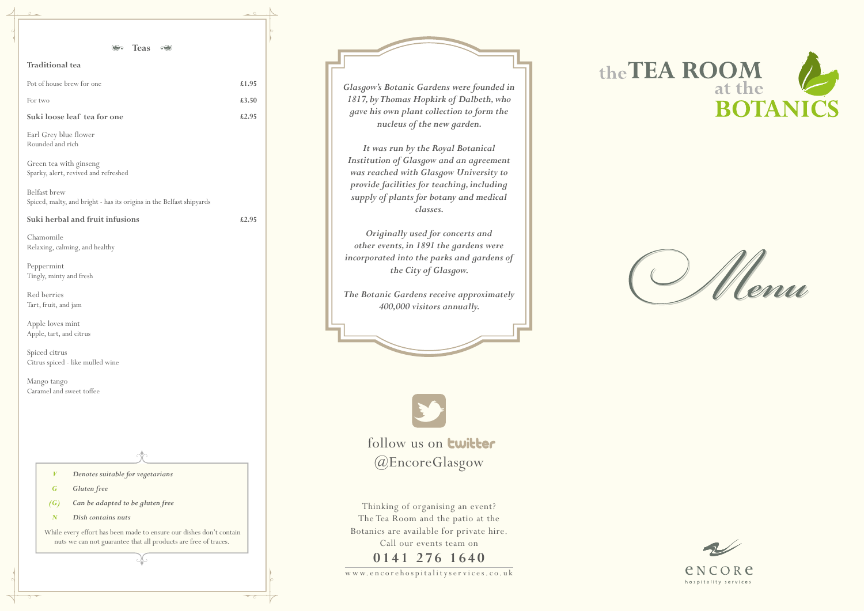w w w. e n c o re h o s p i t a l i t y s e r v i c e s. c o. u k







Thinking of organising an event? The Tea Room and the patio at the Botanics are available for private hire. Call our events team on

# **0141 276 1640**

**S** Teas <del>⊙</del>

| <b>Traditional</b> tea                    |       |
|-------------------------------------------|-------|
| Pot of house brew for one                 | £1.95 |
| For two                                   | £3.50 |
| Suki loose leaf tea for one               | £2.95 |
| Earl Grey blue flower<br>Rounded and rich |       |

Green tea with ginseng Sparky, alert, revived and refreshed

Belfast brew Spiced, malty, and bright - has its origins in the Belfast shipyards

**Suki herbal and fruit infusions £2.95**

Chamomile Relaxing, calming, and healthy

Peppermint Tingly, minty and fresh

Red berries Tart, fruit, and jam

Apple loves mint Apple, tart, and citrus

Spiced citrus Citrus spiced - like mulled wine

Mango tango Caramel and sweet toffee

*V Denotes suitable for vegetarians*

follow us on **twitter** @EncoreGlasgow

*G Gluten free*

*(G) Can be adapted to be gluten free*

*N Dish contains nuts*

 While every effort has been made to ensure our dishes don't contain nuts we can not guarantee that all products are free of traces.

*Glasgow's Botanic Gardens were founded in 1817, by Thomas Hopkirk of Dalbeth, who gave his own plant collection to form the nucleus of the new garden.*

*It was run by the Royal Botanical Institution of Glasgow and an agreement was reached with Glasgow University to provide facilities for teaching, including supply of plants for botany and medical classes.*

*Originally used for concerts and other events, in 1891 the gardens were incorporated into the parks and gardens of the City of Glasgow.*

*The Botanic Gardens receive approximately 400,000 visitors annually.*